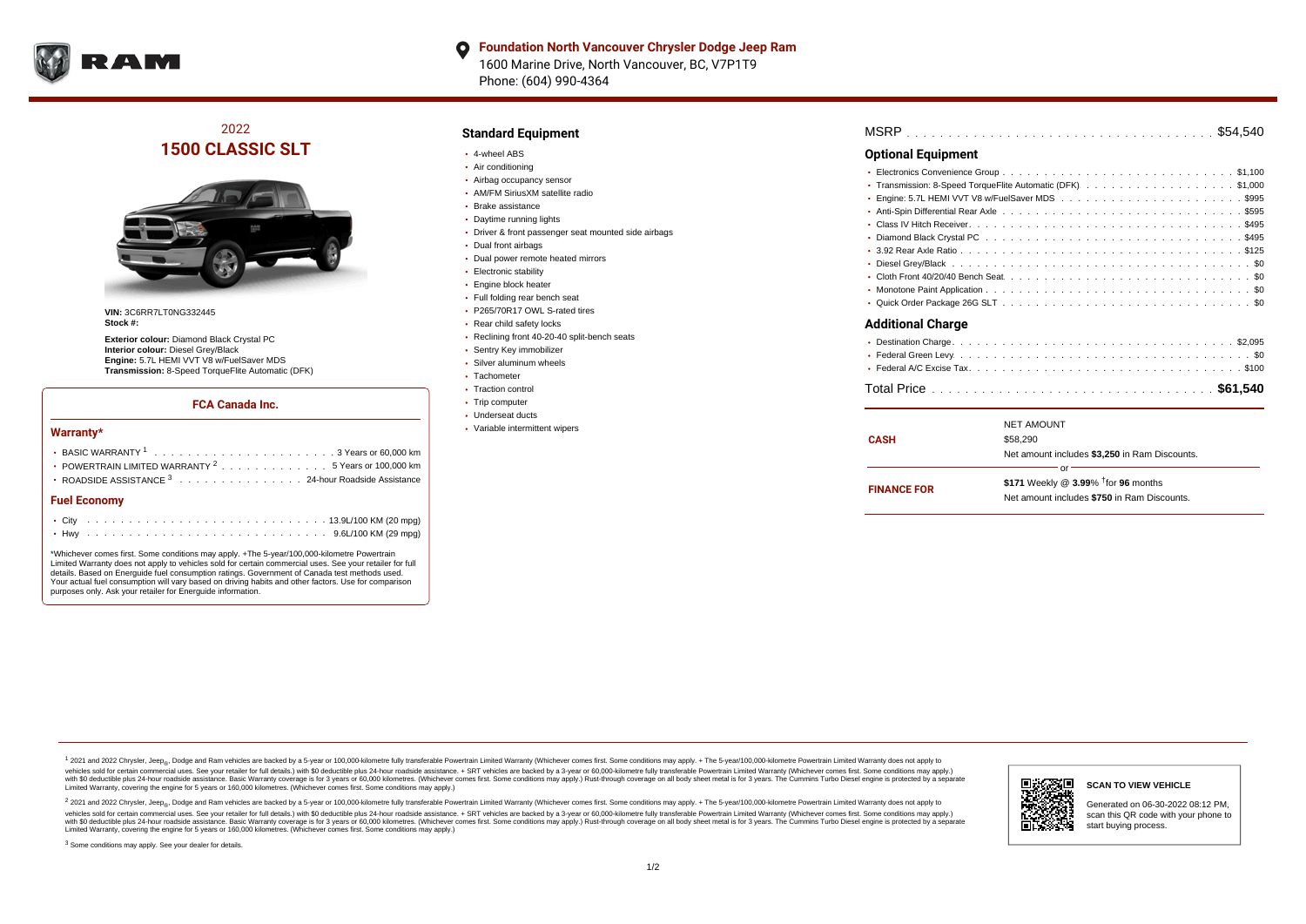

#### **Foundation North Vancouver Chrysler Dodge Jeep Ram**  $\bullet$ 1600 Marine Drive, North Vancouver, BC, V7P1T9 Phone: (604) 990-4364

## 2022 **1500 CLASSIC SLT**



**VIN:** 3C6RR7LT0NG332445 **Stock #:**

**Exterior colour:** Diamond Black Crystal PC **Interior colour:** Diesel Grey/Black **Engine:** 5.7L HEMI VVT V8 w/FuelSaver MDS **Transmission:** 8-Speed TorqueFlite Automatic (DFK)

#### **FCA Canada Inc.**

#### **Warranty\***

| POWERTRAIN LIMITED WARRANTY $2, \ldots, \ldots, \ldots, \ldots, 5$ Years or 100,000 km |  |
|----------------------------------------------------------------------------------------|--|
| • ROADSIDE ASSISTANCE 3 24-hour Roadside Assistance                                    |  |
| <b>Fuel Economy</b>                                                                    |  |
|                                                                                        |  |

\*Whichever comes first. Some conditions may apply. +The 5-year/100,000-kilometre Powertrain Limited Warranty does not apply to vehicles sold for certain commercial uses. See your retailer for full details. Based on Energuide fuel consumption ratings. Government of Canada test methods used. Your actual fuel consumption will vary based on driving habits and other factors. Use for comparison purposes only. Ask your retailer for Energuide information.

. . . . . . . . . . . . . . . . . . . . . . . . . . . . . . . . . . . . . . . . . . . Hwy 9.6L/100 KM (29 mpg)

### **Standard Equipment**

- 4-wheel ABS
- Air conditioning
- Airbag occupancy sensor
- AM/FM SiriusXM satellite radio
- Brake assistance
- Daytime running lights
- Driver & front passenger seat mounted side airbags
- Dual front airbags
- Dual power remote heated mirrors
- **Electronic stability**
- **Engine block heater**
- Full folding rear bench seat
- P265/70R17 OWL S-rated tires
- Rear child safety locks
- Reclining front 40-20-40 split-bench seats
- Sentry Key immobilizer
- Silver aluminum wheels
- Tachometer
- Traction control
- Trip computer Underseat ducts
- Variable intermittent wipers

| MSRP |  |  |  |  |  |  |  |  |  |  |  |  |  |  |  |  |  |  |  |  |  |  |  |  |  |  |  |  |  |  |  |  |  |  |  |  |  |  |  |  |  |  |  |  |  |  |  |  |  |  |
|------|--|--|--|--|--|--|--|--|--|--|--|--|--|--|--|--|--|--|--|--|--|--|--|--|--|--|--|--|--|--|--|--|--|--|--|--|--|--|--|--|--|--|--|--|--|--|--|--|--|--|
|------|--|--|--|--|--|--|--|--|--|--|--|--|--|--|--|--|--|--|--|--|--|--|--|--|--|--|--|--|--|--|--|--|--|--|--|--|--|--|--|--|--|--|--|--|--|--|--|--|--|--|

### **Optional Equipment**

| • Transmission: 8-Speed TorqueFlite Automatic (DFK) \$1,000 |
|-------------------------------------------------------------|
|                                                             |
|                                                             |
|                                                             |
|                                                             |
|                                                             |
|                                                             |
|                                                             |
|                                                             |
|                                                             |
| <b>Additional Charge</b>                                    |
|                                                             |
|                                                             |
|                                                             |
|                                                             |

|                    | <b>NET AMOUNT</b>                                  |  |  |  |  |  |  |
|--------------------|----------------------------------------------------|--|--|--|--|--|--|
| <b>CASH</b>        | \$58,290                                           |  |  |  |  |  |  |
|                    | Net amount includes \$3,250 in Ram Discounts.      |  |  |  |  |  |  |
|                    | nr                                                 |  |  |  |  |  |  |
| <b>FINANCE FOR</b> | \$171 Weekly @ $3.99\%$ <sup>†</sup> for 96 months |  |  |  |  |  |  |
|                    | Net amount includes \$750 in Ram Discounts.        |  |  |  |  |  |  |
|                    |                                                    |  |  |  |  |  |  |

1 2021 and 2022 Chrysler, Jeep<sub>en</sub> Dodge and Ram vehicles are backed by a 5-year or 100,000-kilometre fully transferable Powertrain Limited Warranty (Whichever comes first. Some conditions may apply. + The 5-year/100,000-k vehicles sold for certain commercial uses. See your retailer for full details.) with \$0 deductible plus 24-hour roadside assistance. + SRT vehicles are backed by a 3-year or 60,000-kilometre fully transferable Powertrain L versus and contract the mean of the contract of the contract with a contract with a contract the contract of the search of the contract and a control of the contract and contract and control of the search of the search of Limited Warranty, covering the engine for 5 years or 160,000 kilometres. (Whichever comes first. Some conditions may apply.)

<sup>2</sup> 2021 and 2022 Chrysler, Jeep<sub>®</sub>, Dodge and Ram vehicles are backed by a 5-year or 100,000-kilometre fully transferable Powertrain Limited Warranty (Whichever comes first. Some conditions may apply. + The 5-year/100,000 vehicles sold for certain commercial uses. See your retailer for full details.) with SO deductible plus 24-hour roadside assistance. + SRT vehicles are backed by a 3-year or 60.000-kilometre fully transferable Powertrain L with S0 deductible plus 24-hour roadside assistance. Basic Warranty coverage is for 3 years or 60,000 kilometres. (Whichever comes first. Some conditions may apply.) Rust-through coverage on all body sheet metal is for 3 y

<sup>3</sup> Some conditions may apply. See your dealer for details.



Generated on 06-30-2022 08:12 PM, scan this QR code with your phone to start buying process.